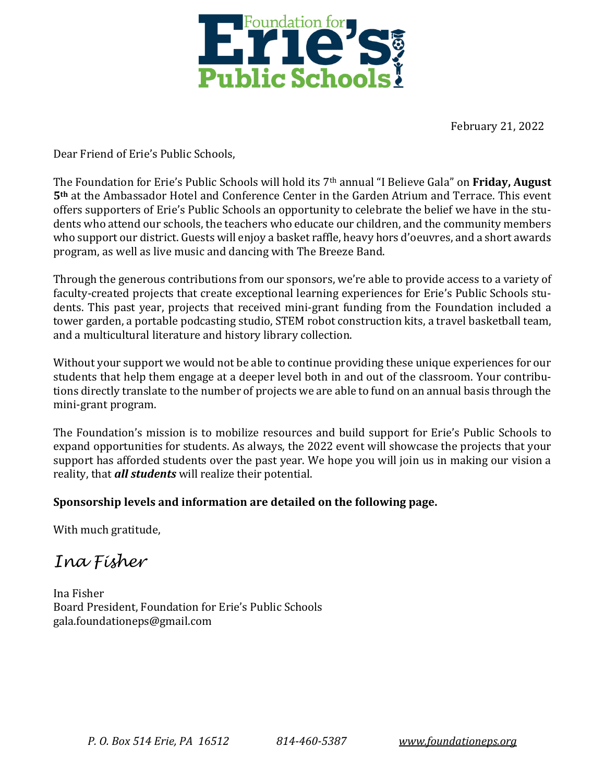

February 21, 2022

Dear Friend of Erie's Public Schools,

The Foundation for Erie's Public Schools will hold its 7th annual "I Believe Gala" on **Friday, August 5th** at the Ambassador Hotel and Conference Center in the Garden Atrium and Terrace. This event offers supporters of Erie's Public Schools an opportunity to celebrate the belief we have in the students who attend our schools, the teachers who educate our children, and the community members who support our district. Guests will enjoy a basket raffle, heavy hors d'oeuvres, and a short awards program, as well as live music and dancing with The Breeze Band.

Through the generous contributions from our sponsors, we're able to provide access to a variety of faculty-created projects that create exceptional learning experiences for Erie's Public Schools students. This past year, projects that received mini-grant funding from the Foundation included a tower garden, a portable podcasting studio, STEM robot construction kits, a travel basketball team, and a multicultural literature and history library collection.

Without your support we would not be able to continue providing these unique experiences for our students that help them engage at a deeper level both in and out of the classroom. Your contributions directly translate to the number of projects we are able to fund on an annual basis through the mini-grant program.

The Foundation's mission is to mobilize resources and build support for Erie's Public Schools to expand opportunities for students. As always, the 2022 event will showcase the projects that your support has afforded students over the past year. We hope you will join us in making our vision a reality, that *all students* will realize their potential.

# **Sponsorship levels and information are detailed on the following page.**

With much gratitude,

*Ina Fisher*

Ina Fisher Board President, Foundation for Erie's Public Schools gala.foundationeps@gmail.com